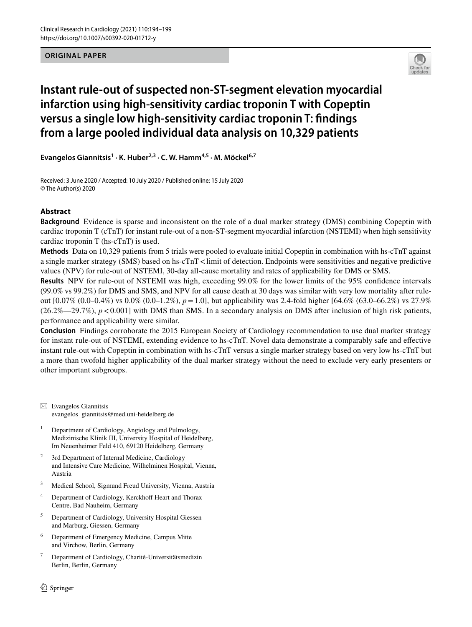**ORIGINAL PAPER**



# **Instant rule‑out of suspected non‑ST‑segment elevation myocardial infarction using high‑sensitivity cardiac troponin T with Copeptin versus a single low high‑sensitivity cardiac troponin T: fndings from a large pooled individual data analysis on 10,329 patients**

Evangelos Giannitsis<sup>1</sup> · K. Huber<sup>2,3</sup> · C. W. Hamm<sup>4,5</sup> · M. Möckel<sup>6,7</sup>

Received: 3 June 2020 / Accepted: 10 July 2020 / Published online: 15 July 2020 © The Author(s) 2020

## **Abstract**

**Background** Evidence is sparse and inconsistent on the role of a dual marker strategy (DMS) combining Copeptin with cardiac troponin T (cTnT) for instant rule-out of a non-ST-segment myocardial infarction (NSTEMI) when high sensitivity cardiac troponin T (hs-cTnT) is used.

**Methods** Data on 10,329 patients from 5 trials were pooled to evaluate initial Copeptin in combination with hs-cTnT against a single marker strategy (SMS) based on hs-cTnT < limit of detection. Endpoints were sensitivities and negative predictive values (NPV) for rule-out of NSTEMI, 30-day all-cause mortality and rates of applicability for DMS or SMS.

**Results** NPV for rule-out of NSTEMI was high, exceeding 99.0% for the lower limits of the 95% confdence intervals (99.0% vs 99.2%) for DMS and SMS, and NPV for all cause death at 30 days was similar with very low mortality after ruleout [0.07% (0.0–0.4%) vs 0.0% (0.0–1.2%), *p*=1.0], but applicability was 2.4-fold higher [64.6% (63.0–66.2%) vs 27.9%  $(26.2\% - 29.7\%)$ ,  $p < 0.001$ ] with DMS than SMS. In a secondary analysis on DMS after inclusion of high risk patients, performance and applicability were similar.

**Conclusion** Findings corroborate the 2015 European Society of Cardiology recommendation to use dual marker strategy for instant rule-out of NSTEMI, extending evidence to hs-cTnT. Novel data demonstrate a comparably safe and efective instant rule-out with Copeptin in combination with hs-cTnT versus a single marker strategy based on very low hs-cTnT but a more than twofold higher applicability of the dual marker strategy without the need to exclude very early presenters or other important subgroups.

 $\boxtimes$  Evangelos Giannitsis evangelos\_giannitsis@med.uni-heidelberg.de

- <sup>1</sup> Department of Cardiology, Angiology and Pulmology, Medizinische Klinik III, University Hospital of Heidelberg, Im Neuenheimer Feld 410, 69120 Heidelberg, Germany
- <sup>2</sup> 3rd Department of Internal Medicine, Cardiology and Intensive Care Medicine, Wilhelminen Hospital, Vienna, Austria
- <sup>3</sup> Medical School, Sigmund Freud University, Vienna, Austria
- <sup>4</sup> Department of Cardiology, Kerckhoff Heart and Thorax Centre, Bad Nauheim, Germany
- <sup>5</sup> Department of Cardiology, University Hospital Giessen and Marburg, Giessen, Germany
- <sup>6</sup> Department of Emergency Medicine, Campus Mitte and Virchow, Berlin, Germany
- <sup>7</sup> Department of Cardiology, Charité-Universitätsmedizin Berlin, Berlin, Germany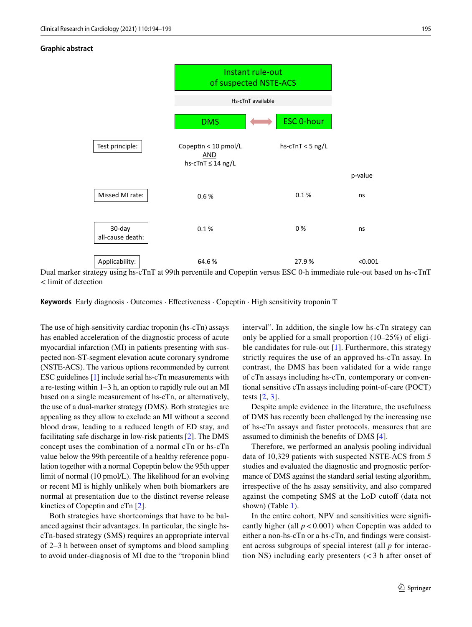#### **Graphic abstract**



Dual marker strategy using hs-cTnT at 99th percentile and Copeptin versus ESC 0-h immediate rule-out based on hs-cTnT < limit of detection

**Keywords** Early diagnosis · Outcomes · Efectiveness · Copeptin · High sensitivity troponin T

The use of high-sensitivity cardiac troponin (hs-cTn) assays has enabled acceleration of the diagnostic process of acute myocardial infarction (MI) in patients presenting with suspected non-ST-segment elevation acute coronary syndrome (NSTE-ACS). The various options recommended by current ESC guidelines [[1](#page-5-0)] include serial hs-cTn measurements with a re-testing within 1–3 h, an option to rapidly rule out an MI based on a single measurement of hs-cTn, or alternatively, the use of a dual-marker strategy (DMS). Both strategies are appealing as they allow to exclude an MI without a second blood draw, leading to a reduced length of ED stay, and facilitating safe discharge in low-risk patients [[2\]](#page-5-1). The DMS concept uses the combination of a normal cTn or hs-cTn value below the 99th percentile of a healthy reference population together with a normal Copeptin below the 95th upper limit of normal (10 pmol/L). The likelihood for an evolving or recent MI is highly unlikely when both biomarkers are normal at presentation due to the distinct reverse release kinetics of Copeptin and cTn [[2\]](#page-5-1).

Both strategies have shortcomings that have to be balanced against their advantages. In particular, the single hscTn-based strategy (SMS) requires an appropriate interval of 2–3 h between onset of symptoms and blood sampling to avoid under-diagnosis of MI due to the "troponin blind interval". In addition, the single low hs-cTn strategy can only be applied for a small proportion (10–25%) of eligible candidates for rule-out [[1](#page-5-0)]. Furthermore, this strategy strictly requires the use of an approved hs-cTn assay. In contrast, the DMS has been validated for a wide range of cTn assays including hs-cTn, contemporary or conventional sensitive cTn assays including point-of-care (POCT) tests [[2](#page-5-1), [3\]](#page-5-2).

Despite ample evidence in the literature, the usefulness of DMS has recently been challenged by the increasing use of hs-cTn assays and faster protocols, measures that are assumed to diminish the benefts of DMS [[4\]](#page-5-3).

Therefore, we performed an analysis pooling individual data of 10,329 patients with suspected NSTE-ACS from 5 studies and evaluated the diagnostic and prognostic performance of DMS against the standard serial testing algorithm, irrespective of the hs assay sensitivity, and also compared against the competing SMS at the LoD cutoff (data not shown) (Table [1\)](#page-2-0).

In the entire cohort, NPV and sensitivities were signifcantly higher (all  $p < 0.001$ ) when Copeptin was added to either a non-hs-cTn or a hs-cTn, and fndings were consistent across subgroups of special interest (all *p* for interaction NS) including early presenters  $\left( < 3 \right)$  h after onset of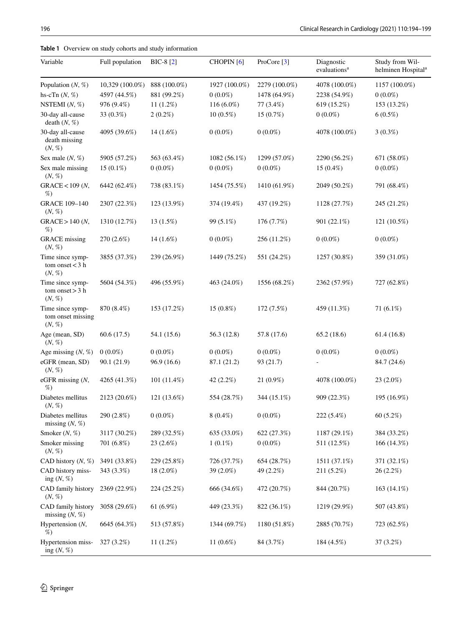<span id="page-2-0"></span>

| <b>Table 1</b> Overview on study cohorts and study information |  |  |
|----------------------------------------------------------------|--|--|
|----------------------------------------------------------------|--|--|

| Variable                                               | Full population | BIC-8 [2]    | CHOPIN <sup>[6]</sup> | ProCore [3]   | Diagnostic<br>evaluations <sup>a</sup> | Study from Wil-<br>helminen Hospital <sup>a</sup> |
|--------------------------------------------------------|-----------------|--------------|-----------------------|---------------|----------------------------------------|---------------------------------------------------|
| Population $(N, %)$                                    | 10,329 (100.0%) | 888 (100.0%) | 1927 (100.0%)         | 2279 (100.0%) | 4078 (100.0%)                          | 1157 (100.0%)                                     |
| hs-cTn $(N, %)$                                        | 4597 (44.5%)    | 881 (99.2%)  | $0(0.0\%)$            | 1478 (64.9%)  | 2238 (54.9%)                           | $0(0.0\%)$                                        |
| NSTEMI $(N, \%)$                                       | 976 (9.4%)      | $11(1.2\%)$  | $116(6.0\%)$          | 77 (3.4%)     | 619 (15.2%)                            | 153 (13.2%)                                       |
| 30-day all-cause<br>death $(N, %)$                     | 33 (0.3%)       | $2(0.2\%)$   | $10(0.5\%)$           | $15(0.7\%)$   | $0(0.0\%)$                             | $6(0.5\%)$                                        |
| 30-day all-cause<br>death missing<br>(N, %)            | 4095 (39.6%)    | $14(1.6\%)$  | $0(0.0\%)$            | $0(0.0\%)$    | 4078 (100.0%)                          | $3(0.3\%)$                                        |
| Sex male $(N, %)$                                      | 5905 (57.2%)    | 563 (63.4%)  | 1082 (56.1%)          | 1299 (57.0%)  | 2290 (56.2%)                           | 671 (58.0%)                                       |
| Sex male missing<br>$(N, \%)$                          | $15(0.1\%)$     | $0(0.0\%)$   | $0(0.0\%)$            | $0(0.0\%)$    | $15(0.4\%)$                            | $0(0.0\%)$                                        |
| GRACE < 109(N,<br>%                                    | 6442 (62.4%)    | 738 (83.1%)  | 1454 (75.5%)          | 1410 (61.9%)  | 2049 (50.2%)                           | 791 (68.4%)                                       |
| <b>GRACE 109-140</b><br>$(N, \%)$                      | 2307 (22.3%)    | 123 (13.9%)  | 374 (19.4%)           | 437 (19.2%)   | 1128 (27.7%)                           | 245 (21.2%)                                       |
| $GRACE > 140$ (N,<br>%                                 | 1310 (12.7%)    | $13(1.5\%)$  | 99 (5.1%)             | 176 (7.7%)    | 901 (22.1%)                            | 121 (10.5%)                                       |
| <b>GRACE</b> missing<br>(N, %)                         | $270(2.6\%)$    | $14(1.6\%)$  | $0(0.0\%)$            | 256 (11.2%)   | $0(0.0\%)$                             | $0(0.0\%)$                                        |
| Time since symp-<br>tom onset $<$ 3 h<br>(N, %)        | 3855 (37.3%)    | 239 (26.9%)  | 1449 (75.2%)          | 551 (24.2%)   | 1257 (30.8%)                           | 359 (31.0%)                                       |
| Time since symp-<br>tom onset $>$ 3 h<br>$(N, \, \% )$ | 5604 (54.3%)    | 496 (55.9%)  | 463 (24.0%)           | 1556 (68.2%)  | 2362 (57.9%)                           | 727 (62.8%)                                       |
| Time since symp-<br>tom onset missing<br>(N, %)        | 870 (8.4%)      | 153 (17.2%)  | 15 (0.8%)             | 172 (7.5%)    | 459 (11.3%)                            | 71 (6.1%)                                         |
| Age (mean, SD)<br>(N, %)                               | 60.6(17.5)      | 54.1 (15.6)  | 56.3 (12.8)           | 57.8 (17.6)   | 65.2(18.6)                             | 61.4(16.8)                                        |
| Age missing $(N, \%)$                                  | $0(0.0\%)$      | $0(0.0\%)$   | $0(0.0\%)$            | $0(0.0\%)$    | $0(0.0\%)$                             | $0(0.0\%)$                                        |
| eGFR (mean, SD)<br>$(N, \%)$                           | 90.1 (21.9)     | 96.9 (16.6)  | 87.1 (21.2)           | 93 (21.7)     |                                        | 84.7 (24.6)                                       |
| eGFR missing (N,<br>%                                  | 4265 (41.3%)    | 101 (11.4%)  | 42 (2.2%)             | $21(0.9\%)$   | 4078 (100.0%)                          | 23 (2.0%)                                         |
| Diabetes mellitus<br>(N, %)                            | 2123 (20.6%)    | 121 (13.6%)  | 554 (28.7%)           | 344 (15.1%)   | 909 (22.3%)                            | 195 (16.9%)                                       |
| Diabetes mellitus<br>missing $(N, %)$                  | 290 (2.8%)      | $0(0.0\%)$   | $8(0.4\%)$            | $0(0.0\%)$    | 222 (5.4%)                             | 60 (5.2%)                                         |
| Smoker (N, %)                                          | 3117 (30.2%)    | 289 (32.5%)  | 635 (33.0%)           | 622 (27.3%)   | 1187 (29.1%)                           | 384 (33.2%)                                       |
| Smoker missing<br>(N, %)                               | 701 (6.8%)      | 23 (2.6%)    | $1(0.1\%)$            | $0(0.0\%)$    | 511 (12.5%)                            | 166 (14.3%)                                       |
| CAD history $(N, %)$                                   | 3491 (33.8%)    | 229 (25.8%)  | 726 (37.7%)           | 654 (28.7%)   | 1511 (37.1%)                           | 371 (32.1%)                                       |
| CAD history miss-<br>ing $(N, %)$                      | 343 (3.3%)      | 18 (2.0%)    | 39 (2.0%)             | 49 (2.2%)     | 211 (5.2%)                             | 26 (2.2%)                                         |
| CAD family history<br>$(N, \% )$                       | 2369 (22.9%)    | 224 (25.2%)  | 666 (34.6%)           | 472 (20.7%)   | 844 (20.7%)                            | $163(14.1\%)$                                     |
| CAD family history<br>missing $(N, %)$                 | 3058 (29.6%)    | 61 $(6.9\%)$ | 449 (23.3%)           | 822 (36.1%)   | 1219 (29.9%)                           | 507 (43.8%)                                       |
| Hypertension $(N,$<br>%                                | 6645 (64.3%)    | 513 (57.8%)  | 1344 (69.7%)          | 1180 (51.8%)  | 2885 (70.7%)                           | 723 (62.5%)                                       |
| Hypertension miss-<br>ing $(N, %)$                     | $327(3.2\%)$    | $11(1.2\%)$  | 11 $(0.6\%)$          | 84 (3.7%)     | 184 (4.5%)                             | $37(3.2\%)$                                       |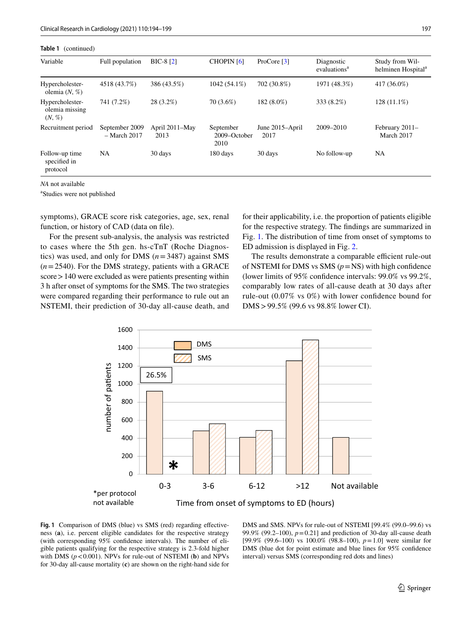| Table 1<br>(continued)                         |                                  |                        |                                   |                         |                                        |                                                   |  |  |
|------------------------------------------------|----------------------------------|------------------------|-----------------------------------|-------------------------|----------------------------------------|---------------------------------------------------|--|--|
| Variable                                       | Full population                  | $BIC-8[2]$             | <b>CHOPIN</b> [6]                 | ProCore $[3]$           | Diagnostic<br>evaluations <sup>a</sup> | Study from Wil-<br>helminen Hospital <sup>a</sup> |  |  |
| Hypercholester-<br>olemia $(N, %)$             | 4518 (43.7%)                     | 386 (43.5%)            | $1042(54.1\%)$                    | 702 (30.8%)             | 1971 (48.3%)                           | 417 (36.0%)                                       |  |  |
| Hypercholester-<br>olemia missing<br>$(N, \%)$ | 741 (7.2%)                       | $28(3.2\%)$            | 70 (3.6%)                         | 182 (8.0%)              | 333 (8.2%)                             | $128(11.1\%)$                                     |  |  |
| Recruitment period                             | September 2009<br>$-$ March 2017 | April 2011–May<br>2013 | September<br>2009-October<br>2010 | June 2015–April<br>2017 | 2009-2010                              | February 2011-<br>March 2017                      |  |  |
| Follow-up time<br>specified in<br>protocol     | <b>NA</b>                        | 30 days                | 180 days                          | 30 days                 | No follow-up                           | NA                                                |  |  |

*NA* not available

a Studies were not published

symptoms), GRACE score risk categories, age, sex, renal function, or history of CAD (data on file).

For the present sub-analysis, the analysis was restricted to cases where the 5th gen. hs-cTnT (Roche Diagnostics) was used, and only for DMS (*n*=3487) against SMS (*n*=2540). For the DMS strategy, patients with a GRACE score > 140 were excluded as were patients presenting within 3 h after onset of symptoms for the SMS. The two strategies were compared regarding their performance to rule out an NSTEMI, their prediction of 30-day all-cause death, and for their applicability, i.e. the proportion of patients eligible for the respective strategy. The fndings are summarized in Fig. [1.](#page-3-0) The distribution of time from onset of symptoms to ED admission is displayed in Fig. [2](#page-4-0).

The results demonstrate a comparable efficient rule-out of NSTEMI for DMS vs SMS  $(p = NS)$  with high confidence (lower limits of 95% confdence intervals: 99.0% vs 99.2%, comparably low rates of all-cause death at 30 days after rule-out (0.07% vs 0%) with lower confdence bound for DMS>99.5% (99.6 vs 98.8% lower CI).



<span id="page-3-0"></span>**Fig. 1** Comparison of DMS (blue) vs SMS (red) regarding efectiveness (**a**), i.e. percent eligible candidates for the respective strategy (with corresponding 95% confdence intervals). The number of eligible patients qualifying for the respective strategy is 2.3-fold higher with DMS  $(p < 0.001)$ . NPVs for rule-out of NSTEMI (**b**) and NPVs for 30-day all-cause mortality (**c**) are shown on the right-hand side for

DMS and SMS. NPVs for rule-out of NSTEMI [99.4% (99.0–99.6) vs 99.9% (99.2–100),  $p = 0.21$ ] and prediction of 30-day all-cause death [99.9% (99.6–100) vs 100.0% (98.8–100), *p*=1.0] were similar for DMS (blue dot for point estimate and blue lines for 95% confdence interval) versus SMS (corresponding red dots and lines)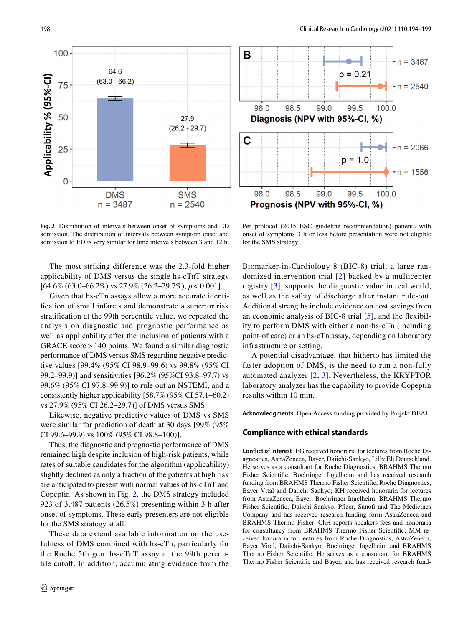



<span id="page-4-0"></span>**Fig. 2** Distribution of intervals between onset of symptoms and ED admission. The distribution of intervals between symptom onset and admission to ED is very similar for time intervals between 3 and 12 h.

The most striking difference was the 2.3-fold higher applicability of DMS versus the single hs-cTnT strategy [64.6% (63.0–66.2%) vs 27.9% (26.2–29.7%), *p*<0.001].

Given that hs-cTn assays allow a more accurate identifcation of small infarcts and demonstrate a superior risk stratifcation at the 99th percentile value, we repeated the analysis on diagnostic and prognostic performance as well as applicability after the inclusion of patients with a GRACE score>140 points. We found a similar diagnostic performance of DMS versus SMS regarding negative predictive values [99.4% (95% CI 98.9–99.6) vs 99.8% (95% CI 99.2–99.9)] and sensitivities [96.2% (95%CI 93.8–97.7) vs 99.6% (95% CI 97.8–99.9)] to rule out an NSTEMI, and a consistently higher applicability [58.7% (95% CI 57.1–60.2) vs 27.9% (95% CI 26.2–29.7)] of DMS versus SMS.

Likewise, negative predictive values of DMS vs SMS were similar for prediction of death at 30 days [99% (95% CI 99.6–99.9) vs 100% (95% CI 98.8–100)].

Thus, the diagnostic and prognostic performance of DMS remained high despite inclusion of high-risk patients, while rates of suitable candidates for the algorithm (applicability) slightly declined as only a fraction of the patients at high risk are anticipated to present with normal values of hs-cTnT and Copeptin. As shown in Fig. [2,](#page-4-0) the DMS strategy included 923 of 3,487 patients (26.5%) presenting within 3 h after onset of symptoms. These early presenters are not eligible for the SMS strategy at all.

These data extend available information on the usefulness of DMS combined with hs-cTn, particularly for the Roche 5th gen. hs-cTnT assay at the 99th percentile cutof. In addition, accumulating evidence from the

Per protocol (2015 ESC guideline recommendation) patients with onset of symptoms 3 h or less before presentation were not eligible for the SMS strategy

Biomarker-in-Cardiology 8 (BIC-8) trial, a large randomized intervention trial [[2\]](#page-5-1) backed by a multicenter registry [\[3\]](#page-5-2), supports the diagnostic value in real world, as well as the safety of discharge after instant rule-out. Additional strengths include evidence on cost savings from an economic analysis of BIC-8 trial [[5](#page-5-5)], and the fexibility to perform DMS with either a non-hs-cTn (including point-of care) or an hs-cTn assay, depending on laboratory infrastructure or setting.

A potential disadvantage, that hitherto has limited the faster adoption of DMS, is the need to run a non-fully automated analyzer [[2](#page-5-1), [3](#page-5-2)]. Nevertheless, the KRYPTOR laboratory analyzer has the capability to provide Copeptin results within 10 min.

**Acknowledgments** Open Access funding provided by Projekt DEAL.

### **Compliance with ethical standards**

**Conflict of interest** EG received honoraria for lectures from Roche Diagnostics, AstraZeneca, Bayer, Daiichi-Sankyo, Lilly Eli Deutschland. He serves as a consultant for Roche Diagnostics, BRAHMS Thermo Fisher Scientifc, Boehringer Ingelheim and has received research funding from BRAHMS Thermo Fisher Scientifc, Roche Diagnostics, Bayer Vital and Daiichi Sankyo; KH received honoraria for lectures from AstraZeneca, Bayer, Boehringer Ingelheim, BRAHMS Thermo Fisher Scientifc, Daiichi Sankyo, Pfzer, Sanof and The Medicines Company and has received research funding form AstraZeneca and BRAHMS Thermo Fisher; ChH reports speakers fees and honoraria for consultancy from BRAHMS Thermo Fisher Scientifc; MM received honoraria for lectures from Roche Diagnostics, AstraZeneca, Bayer Vital, Daiichi-Sankyo, Boehringer Ingelheim and BRAHMS Thermo Fisher Scientifc. He serves as a consultant for BRAHMS Thermo Fisher Scientifc and Bayer, and has received research fund